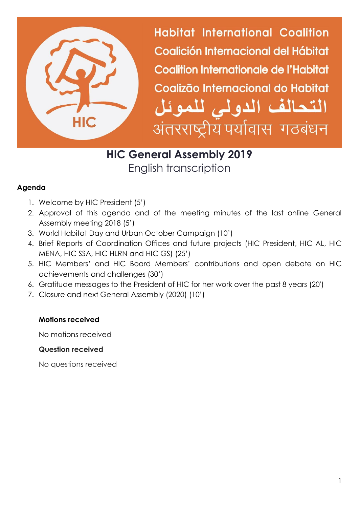

**Habitat International Coalition** Coalición Internacional del Hábitat Coalition Internationale de l'Habitat Coalizão Internacional do Habitat التحالف الدولى للموئل अंतरराष्ट्रीय पर्यावास गठबंधन

# **HIC General Assembly 2019** English transcription

## **Agenda**

- 1. Welcome by HIC President (5')
- 2. Approval of this agenda and of the meeting minutes of the last online General Assembly meeting 2018 (5')
- 3. World Habitat Day and Urban October Campaign (10')
- 4. Brief Reports of Coordination Offices and future projects (HIC President, HIC AL, HIC MENA, HIC SSA, HIC HLRN and HIC GS) (25')
- 5. HIC Members' and HIC Board Members' contributions and open debate on HIC achievements and challenges (30')
- 6. Gratitude messages to the President of HIC for her work over the past 8 years (20')
- 7. Closure and next General Assembly (2020) (10')

## **Motions received**

No motions received

## **Question received**

No questions received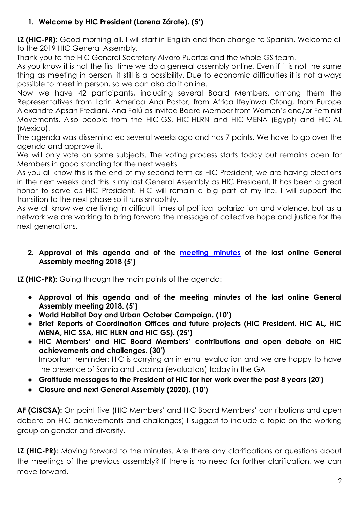# **1. Welcome by HIC President (Lorena Zárate). (5')**

LZ (HIC-PR): Good morning all. I will start in English and then change to Spanish. Welcome all to the 2019 HIC General Assembly.

Thank you to the HIC General Secretary Alvaro Puertas and the whole GS team.

As you know it is not the first time we do a general assembly online. Even if it is not the same thing as meeting in person, it still is a possibility. Due to economic difficulties it is not always possible to meet in person, so we can also do it online.

Now we have 42 participants, including several Board Members, among them the Representatives from Latin America Ana Pastor, from Africa Ifeyinwa Ofong, from Europe Alexandre Apsan Frediani, Ana Falú as invited Board Member from Women's and/or Feminist Movements. Also people from the HIC-GS, HIC-HLRN and HIC-MENA (Egypt) and HIC-AL (Mexico).

The agenda was disseminated several weeks ago and has 7 points. We have to go over the agenda and approve it.

We will only vote on some subjects. The voting process starts today but remains open for Members in good standing for the next weeks.

As you all know this is the end of my second term as HIC President, we are having elections in the next weeks and this is my last General Assembly as HIC President. It has been a great honor to serve as HIC President. HIC will remain a big part of my life. I will support the transition to the next phase so it runs smoothly.

As we all know we are living in difficult times of political polarization and violence, but as a network we are working to bring forward the message of collective hope and justice for the next generations.

### **2. Approval of this agenda and of the [meeting minutes](https://www.hic-net.org/minutes-of-the-2018-general-assembly/) of the last online General Assembly meeting 2018 (5')**

**LZ (HIC-PR):** Going through the main points of the agenda:

- **Approval of this agenda and of the meeting minutes of the last online General Assembly meeting 2018. (5')**
- **World Habitat Day and Urban October Campaign. (10')**
- **Brief Reports of Coordination Offices and future projects (HIC President, HIC AL, HIC MENA, HIC SSA, HIC HLRN and HIC GS). (25')**
- **HIC Members' and HIC Board Members' contributions and open debate on HIC achievements and challenges. (30')** Important reminder: HIC is carrying an internal evaluation and we are happy to have the presence of Samia and Joanna (evaluators) today in the GA
- **Gratitude messages to the President of HIC for her work over the past 8 years (20')**
- **Closure and next General Assembly (2020). (10')**

**AF (CISCSA):** On point five (HIC Members' and HIC Board Members' contributions and open debate on HIC achievements and challenges) I suggest to include a topic on the working group on gender and diversity.

LZ (HIC-PR): Moving forward to the minutes. Are there any clarifications or questions about the meetings of the previous assembly? If there is no need for further clarification, we can move forward.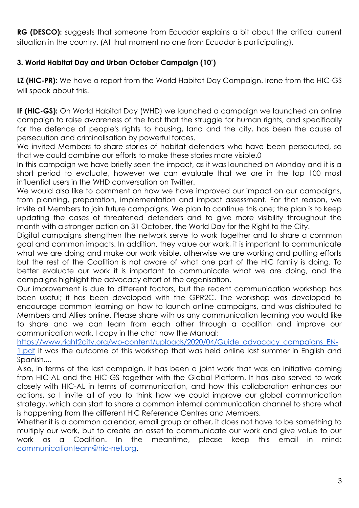**RG (DESCO):** suggests that someone from Ecuador explains a bit about the critical current situation in the country. (At that moment no one from Ecuador is participating).

## **3. World Habitat Day and Urban October Campaign (10')**

**LZ (HIC-PR):** We have a report from the World Habitat Day Campaign. Irene from the HIC-GS will speak about this.

**IF (HIC-GS):** On World Habitat Day (WHD) we launched a campaign we launched an online campaign to raise awareness of the fact that the struggle for human rights, and specifically for the defence of people's rights to housing, land and the city, has been the cause of persecution and criminalisation by powerful forces.

We invited Members to share stories of habitat defenders who have been persecuted, so that we could combine our efforts to make these stories more visible.0

In this campaign we have briefly seen the impact, as it was launched on Monday and it is a short period to evaluate, however we can evaluate that we are in the top 100 most influential users in the WHD conversation on Twitter.

We would also like to comment on how we have improved our impact on our campaigns, from planning, preparation, implementation and impact assessment. For that reason, we invite all Members to join future campaigns. We plan to continue this one; the plan is to keep updating the cases of threatened defenders and to give more visibility throughout the month with a stronger action on 31 October, the World Day for the Right to the City.

Digital campaigns strengthen the network serve to work together and to share a common goal and common impacts. In addition, they value our work, it is important to communicate what we are doing and make our work visible, otherwise we are working and putting efforts but the rest of the Coalition is not aware of what one part of the HIC family is doing. To better evaluate our work it is important to communicate what we are doing, and the campaigns highlight the advocacy effort of the organisation.

Our improvement is due to different factors, but the recent communication workshop has been useful; it has been developed with the GPR2C. The workshop was developed to encourage common learning on how to launch online campaigns, and was distributed to Members and Allies online. Please share with us any communication learning you would like to share and we can learn from each other through a coalition and improve our communication work. I copy in the chat now the Manual:

[https://www.right2city.org/wp-content/uploads/2020/04/Guide\\_advocacy\\_campaigns\\_EN-](https://www.right2city.org/wp-content/uploads/2020/04/Guide_advocacy_campaigns_EN-1.pdf)[1.pdf](https://www.right2city.org/wp-content/uploads/2020/04/Guide_advocacy_campaigns_EN-1.pdf) it was the outcome of this workshop that was held online last summer in English and Spanish....

Also, in terms of the last campaign, it has been a joint work that was an initiative coming from HIC-AL and the HIC-GS together with the Global Platform. It has also served to work closely with HIC-AL in terms of communication, and how this collaboration enhances our actions, so I invite all of you to think how we could improve our global communication strategy, which can start to share a common internal communication channel to share what is happening from the different HIC Reference Centres and Members.

Whether it is a common calendar, email group or other, it does not have to be something to multiply our work, but to create an asset to communicate our work and give value to our work as a Coalition. In the meantime, please keep this email in mind: [communicationteam@hic-net.org.](mailto:communicationteam@hic-net.org)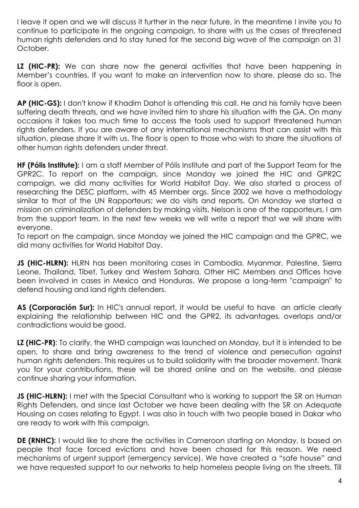I leave it open and we will discuss it further in the near future, in the meantime I invite you to continue to participate in the ongoing campaign, to share with us the cases of threatened human rights defenders and to stay tuned for the second big wave of the campaign on 31 October.

**LZ (HIC-PR):** We can share now the general activities that have been happening in Member's countries. If you want to make an intervention now to share, please do so. The floor is open.

**AP (HIC-GS):** I don't know if Khadim Dahot is attending this call. He and his family have been suffering death threats, and we have invited him to share his situation with the GA. On many occasions it takes too much time to access the tools used to support threatened human rights defenders. If you are aware of any international mechanisms that can assist with this situation, please share it with us. The floor is open to those who wish to share the situations of other human rights defenders under threat.

**HF (Pólis Institute):** I am a staff Member of Pólis Institute and part of the Support Team for the GPR2C. To report on the campaign, since Monday we joined the HIC and GPR2C campaign, we did many activities for World Habitat Day. We also started a process of researching the DESC platform, with 45 Member orgs. Since 2002 we have a methodology similar to that of the UN Rapporteurs; we do visits and reports. On Monday we started a mission on criminalization of defenders by making visits. Nelson is one of the rapporteurs, I am from the support team. In the next few weeks we will write a report that we will share with everyone.

To report on the campaign, since Monday we joined the HIC campaign and the GPRC, we did many activities for World Habitat Day.

**JS (HIC-HLRN):** HLRN has been monitoring cases in Cambodia, Myanmar, Palestine, Sierra Leone, Thailand, Tibet, Turkey and Western Sahara. Other HIC Members and Offices have been involved in cases in Mexico and Honduras. We propose a long-term "campaign" to defend housing and land rights defenders.

**AS (Corporación Sur):** In HIC's annual report, it would be useful to have an article clearly explaining the relationship between HIC and the GPR2, its advantages, overlaps and/or contradictions would be good.

**LZ (HIC-PR)**: To clarify, the WHD campaign was launched on Monday, but it is intended to be open, to share and bring awareness to the trend of violence and persecution against human rights defenders. This requires us to build solidarity with the broader movement. Thank you for your contributions, these will be shared online and on the website, and please continue sharing your information.

**JS (HIC-HLRN):** I met with the Special Consultant who is working to support the SR on Human Rights Defenders, and since last October we have been dealing with the SR on Adequate Housing on cases relating to Egypt. I was also in touch with two people based in Dakar who are ready to work with this campaign.

**DE (RNHC):** I would like to share the activities in Cameroon starting on Monday. Is based on people that face forced evictions and have been chased for this reason. We need mechanisms of urgent support (emergency service). We have created a "safe house" and we have requested support to our networks to help homeless people living on the streets. Till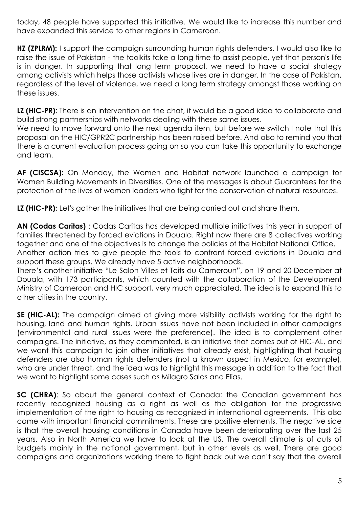today, 48 people have supported this initiative. We would like to increase this number and have expanded this service to other regions in Cameroon.

**HZ (ZPLRM):** I support the campaign surrounding human rights defenders. I would also like to raise the issue of Pakistan - the toolkits take a long time to assist people, yet that person's life is in danger. In supporting that long term proposal, we need to have a social strategy among activists which helps those activists whose lives are in danger. In the case of Pakistan, regardless of the level of violence, we need a long term strategy amongst those working on these issues.

**LZ (HIC-PR)**: There is an intervention on the chat, it would be a good idea to collaborate and build strong partnerships with networks dealing with these same issues.

We need to move forward onto the next agenda item, but before we switch I note that this proposal on the HIC/GPR2C partnership has been raised before. And also to remind you that there is a current evaluation process going on so you can take this opportunity to exchange and learn.

**AF (CISCSA):** On Monday, the Women and Habitat network launched a campaign for Women Building Movements in Diversities. One of the messages is about Guarantees for the protection of the lives of women leaders who fight for the conservation of natural resources.

**LZ (HIC-PR):** Let's gather the initiatives that are being carried out and share them.

**AN (Codas Caritas)** : Codas Caritas has developed multiple initiatives this year in support of families threatened by forced evictions in Douala. Right now there are 8 collectives working together and one of the objectives is to change the policies of the Habitat National Office. Another action tries to give people the tools to confront forced evictions in Douala and

support these groups. We already have 5 active neighborhoods.

There's another initiative "Le Salon Villes et Toits du Cameroun", on 19 and 20 December at Douala, with 173 participants, which counted with the collaboration of the Development Ministry of Cameroon and HIC support, very much appreciated. The idea is to expand this to other cities in the country.

**SE (HIC-AL):** The campaign aimed at giving more visibility activists working for the right to housing, land and human rights. Urban issues have not been included in other campaigns (environmental and rural issues were the preference). The idea is to complement other campaigns. The initiative, as they commented, is an initiative that comes out of HIC-AL, and we want this campaign to join other initiatives that already exist, highlighting that housing defenders are also human rights defenders (not a known aspect in Mexico, for example), who are under threat, and the idea was to highlight this message in addition to the fact that we want to highlight some cases such as Milagro Salas and Elias.

**SC (CHRA)**: So about the general context of Canada: the Canadian government has recently recognized housing as a right as well as the obligation for the progressive implementation of the right to housing as recognized in international agreements. This also came with important financial commitments. These are positive elements. The negative side is that the overall housing conditions in Canada have been deteriorating over the last 25 years. Also in North America we have to look at the US. The overall climate is of cuts of budgets mainly in the national government, but in other levels as well. There are good campaigns and organizations working there to fight back but we can't say that the overall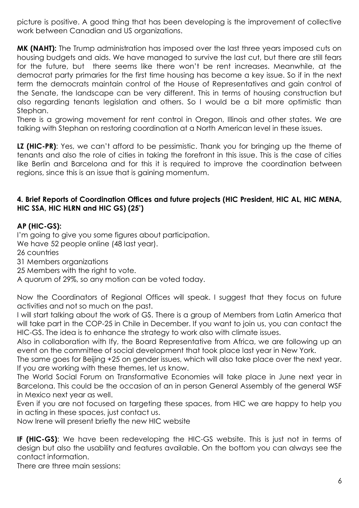picture is positive. A good thing that has been developing is the improvement of collective work between Canadian and US organizations.

**MK (NAHT):** The Trump administration has imposed over the last three years imposed cuts on housing budgets and aids. We have managed to survive the last cut, but there are still fears for the future, but there seems like there won't be rent increases. Meanwhile, at the democrat party primaries for the first time housing has become a key issue. So if in the next term the democrats maintain control of the House of Representatives and gain control of the Senate, the landscape can be very different. This in terms of housing construction but also regarding tenants legislation and others. So I would be a bit more optimistic than Stephan.

There is a growing movement for rent control in Oregon, Illinois and other states. We are talking with Stephan on restoring coordination at a North American level in these issues.

**LZ (HIC-PR)**: Yes, we can't afford to be pessimistic. Thank you for bringing up the theme of tenants and also the role of cities in taking the forefront in this issue. This is the case of cities like Berlin and Barcelona and for this it is required to improve the coordination between regions, since this is an issue that is gaining momentum.

#### **4. Brief Reports of Coordination Offices and future projects (HIC President, HIC AL, HIC MENA, HIC SSA, HIC HLRN and HIC GS) (25')**

#### **AP (HIC-GS):**

I'm going to give you some figures about participation.

We have 52 people online (48 last year).

26 countries

31 Members organizations

25 Members with the right to vote.

A quorum of 29%, so any motion can be voted today.

Now the Coordinators of Regional Offices will speak. I suggest that they focus on future activities and not so much on the past.

I will start talking about the work of GS. There is a group of Members from Latin America that will take part in the COP-25 in Chile in December. If you want to join us, you can contact the HIC-GS. The idea is to enhance the strategy to work also with climate issues.

Also in collaboration with Ify, the Board Representative from Africa, we are following up an event on the committee of social development that took place last year in New York.

The same goes for Beijing +25 on gender issues, which will also take place over the next year. If you are working with these themes, let us know.

The World Social Forum on Transformative Economies will take place in June next year in Barcelona. This could be the occasion of an in person General Assembly of the general WSF in Mexico next year as well.

Even if you are not focused on targeting these spaces, from HIC we are happy to help you in acting in these spaces, just contact us.

Now Irene will present briefly the new HIC website

**IF (HIC-GS)**: We have been redeveloping the HIC-GS website. This is just not in terms of design but also the usability and features available. On the bottom you can always see the contact information.

There are three main sessions: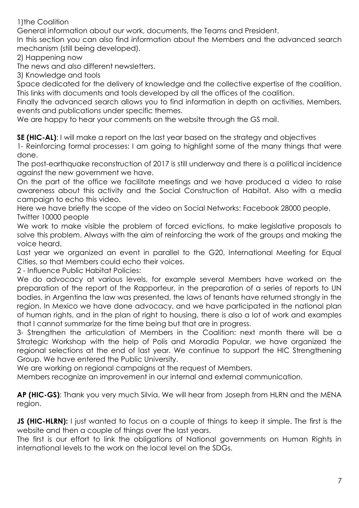1)the Coalition

General information about our work, documents, the Teams and President.

In this section you can also find information about the Members and the advanced search mechanism (still being developed).

2) Happening now

The news and also different newsletters.

3) Knowledge and tools

Space dedicated for the delivery of knowledge and the collective expertise of the coalition. This links with documents and tools developed by all the offices of the coalition.

Finally the advanced search allows you to find information in depth on activities, Members, events and publications under specific themes.

We are happy to hear your comments on the website through the GS mail.

**SE (HIC-AL)**: I will make a report on the last year based on the strategy and objectives

1- Reinforcing formal processes: I am going to highlight some of the many things that were done.

The post-earthquake reconstruction of 2017 is still underway and there is a political incidence against the new government we have.

On the part of the office we facilitate meetings and we have produced a video to raise awareness about this activity and the Social Construction of Habitat. Also with a media campaign to echo this video.

Here we have briefly the scope of the video on Social Networks: Facebook 28000 people, Twitter 10000 people

We work to make visible the problem of forced evictions, to make legislative proposals to solve this problem. Always with the aim of reinforcing the work of the groups and making the voice heard.

Last year we organized an event in parallel to the G20, International Meeting for Equal Cities, so that Members could echo their voices.

2 - Influence Public Habitat Policies:

We do advocacy at various levels, for example several Members have worked on the preparation of the report of the Rapporteur, in the preparation of a series of reports to UN bodies, in Argentina the law was presented, the laws of tenants have returned strongly in the region. In Mexico we have done advocacy, and we have participated in the national plan of human rights, and in the plan of right to housing, there is also a lot of work and examples that I cannot summarize for the time being but that are in progress.

3- Strengthen the articulation of Members in the Coalition: next month there will be a Strategic Workshop with the help of Polis and Moradia Popular, we have organized the regional selections at the end of last year. We continue to support the HIC Strengthening Group. We have entered the Public University.

We are working on regional campaigns at the request of Members.

Members recognize an improvement in our internal and external communication.

**AP (HIC-GS)**: Thank you very much Silvia. We will hear from Joseph from HLRN and the MENA region.

**JS (HIC-HLRN):** I just wanted to focus on a couple of things to keep it simple. The first is the website and then a couple of things over the last years.

The first is our effort to link the obligations of National governments on Human Rights in international levels to the work on the local level on the SDGs.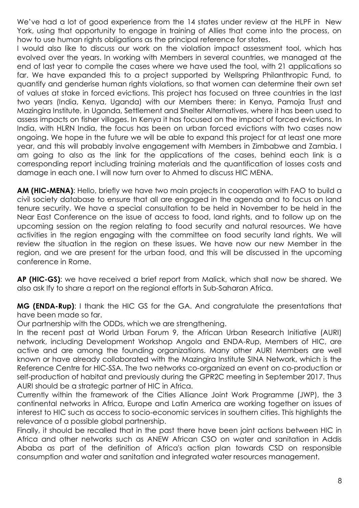We've had a lot of good experience from the 14 states under review at the HLPF in New York, using that opportunity to engage in training of Allies that come into the process, on how to use human rights obligations as the principal reference for states.

I would also like to discuss our work on the violation impact assessment tool, which has evolved over the years. In working with Members in several countries, we managed at the end of last year to compile the cases where we have used the tool, with 21 applications so far. We have expanded this to a project supported by Wellspring Philanthropic Fund, to quantify and genderise human rights violations, so that women can determine their own set of values at stake in forced evictions. This project has focused on three countries in the last two years (India, Kenya, Uganda) with our Members there: in Kenya, Pamoja Trust and Mazingira Institute, in Uganda, Settlement and Shelter Alternatives, where it has been used to assess impacts on fisher villages. In Kenya it has focused on the impact of forced evictions. In India, with HLRN India, the focus has been on urban forced evictions with two cases now ongoing. We hope in the future we will be able to expand this project for at least one more year, and this will probably involve engagement with Members in Zimbabwe and Zambia. I am going to also as the link for the applications of the cases, behind each link is a corresponding report including training materials and the quantification of losses costs and damage in each one. I will now turn over to Ahmed to discuss HIC MENA.

**AM (HIC-MENA)**: Hello, briefly we have two main projects in cooperation with FAO to build a civil society database to ensure that all are engaged in the agenda and to focus on land tenure security. We have a special consultation to be held in November to be held in the Near East Conference on the issue of access to food, land rights, and to follow up on the upcoming session on the region relating to food security and natural resources. We have activities in the region engaging with the committee on food security land rights. We will review the situation in the region on these issues. We have now our new Member in the region, and we are present for the urban food, and this will be discussed in the upcoming conference in Rome.

**AP (HIC-GS)**: we have received a brief report from Malick, which shall now be shared. We also ask Ify to share a report on the regional efforts in Sub-Saharan Africa.

**MG (ENDA-Rup)**: I thank the HIC GS for the GA. And congratulate the presentations that have been made so far.

Our partnership with the ODDs, which we are strengthening.

In the recent past at World Urban Forum 9, the African Urban Research Initiative (AURI) network, including Development Workshop Angola and ENDA-Rup, Members of HIC, are active and are among the founding organizations. Many other AURI Members are well known or have already collaborated with the Mazingira Institute SINA Network, which is the Reference Centre for HIC-SSA. The two networks co-organized an event on co-production or self-production of habitat and previously during the GPR2C meeting in September 2017. Thus AURI should be a strategic partner of HIC in Africa.

Currently within the framework of the Cities Alliance Joint Work Programme (JWP), the 3 continental networks in Africa, Europe and Latin America are working together on issues of interest to HIC such as access to socio-economic services in southern cities. This highlights the relevance of a possible global partnership.

Finally, it should be recalled that in the past there have been joint actions between HIC in Africa and other networks such as ANEW African CSO on water and sanitation in Addis Ababa as part of the definition of Africa's action plan towards CSD on responsible consumption and water and sanitation and integrated water resources management.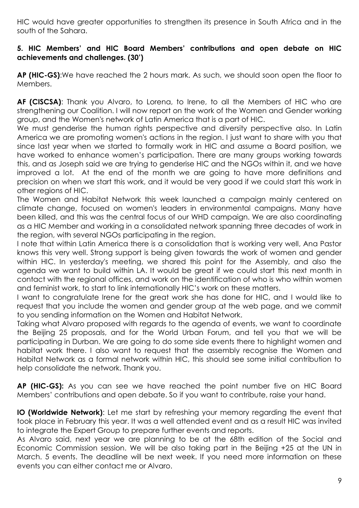HIC would have greater opportunities to strengthen its presence in South Africa and in the south of the Sahara.

#### **5. HIC Members' and HIC Board Members' contributions and open debate on HIC achievements and challenges. (30')**

**AP (HIC-GS)**:We have reached the 2 hours mark. As such, we should soon open the floor to Members.

**AF (CISCSA)**: Thank you Alvaro, to Lorena, to Irene, to all the Members of HIC who are strengthening our Coalition. I will now report on the work of the Women and Gender working group, and the Women's network of Latin America that is a part of HIC.

We must genderise the human rights perspective and diversity perspective also. In Latin America we are promoting women's actions in the region. I just want to share with you that since last year when we started to formally work in HIC and assume a Board position, we have worked to enhance women's participation. There are many groups working towards this, and as Joseph said we are trying to genderise HIC and the NGOs within it, and we have improved a lot. At the end of the month we are going to have more definitions and precision on when we start this work, and it would be very good if we could start this work in other regions of HIC.

The Women and Habitat Network this week launched a campaign mainly centered on climate change, focused on women's leaders in environmental campaigns. Many have been killed, and this was the central focus of our WHD campaign. We are also coordinating as a HIC Member and working in a consolidated network spanning three decades of work in the region, with several NGOs participating in the region.

I note that within Latin America there is a consolidation that is working very well, Ana Pastor knows this very well. Strong support is being given towards the work of women and gender within HIC. In yesterday's meeting, we shared this point for the Assembly, and also the agenda we want to build within LA. It would be great if we could start this next month in contact with the regional offices, and work on the identification of who is who within women and feminist work, to start to link internationally HIC's work on these matters.

I want to congratulate Irene for the great work she has done for HIC, and I would like to request that you include the women and gender group at the web page, and we commit to you sending information on the Women and Habitat Network.

Taking what Alvaro proposed with regards to the agenda of events, we want to coordinate the Beijing 25 proposals, and for the World Urban Forum, and tell you that we will be participating in Durban. We are going to do some side events there to highlight women and habitat work there. I also want to request that the assembly recognise the Women and Habitat Network as a formal network within HIC, this should see some initial contribution to help consolidate the network. Thank you.

**AP (HIC-GS):** As you can see we have reached the point number five on HIC Board Members' contributions and open debate. So if you want to contribute, raise your hand.

**IO (Worldwide Network)**: Let me start by refreshing your memory regarding the event that took place in February this year. It was a well attended event and as a result HIC was invited to integrate the Expert Group to prepare further events and reports.

As Alvaro said, next year we are planning to be at the 68th edition of the Social and Economic Commission session. We will be also taking part in the Beijing +25 at the UN in March. 5 events. The deadline will be next week. If you need more information on these events you can either contact me or Alvaro.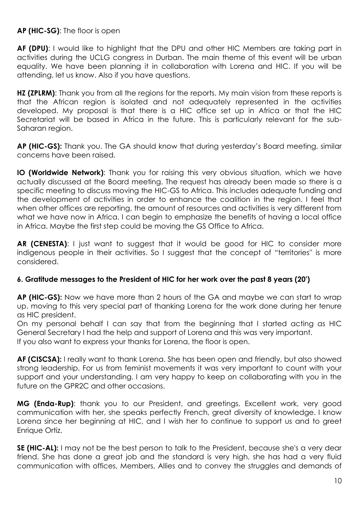**AP (HIC-SG)**: The floor is open

**AF (DPU)**: I would like to highlight that the DPU and other HIC Members are taking part in activities during the UCLG congress in Durban. The main theme of this event will be urban equality. We have been planning it in collaboration with Lorena and HIC. If you will be attending, let us know. Also if you have questions.

**HZ (ZPLRM):** Thank you from all the regions for the reports. My main vision from these reports is that the African region is isolated and not adequately represented in the activities developed. My proposal is that there is a HIC office set up in Africa or that the HIC Secretariat will be based in Africa in the future. This is particularly relevant for the sub-Saharan region.

**AP (HIC-GS):** Thank you. The GA should know that during yesterday's Board meeting, similar concerns have been raised.

**IO (Worldwide Network)**: Thank you for raising this very obvious situation, which we have actually discussed at the Board meeting. The request has already been made so there is a specific meeting to discuss moving the HIC-GS to Africa. This includes adequate funding and the development of activities in order to enhance the coalition in the region. I feel that when other offices are reporting, the amount of resources and activities is very different from what we have now in Africa. I can begin to emphasize the benefits of having a local office in Africa. Maybe the first step could be moving the GS Office to Africa.

**AR (CENESTA)**: I just want to suggest that it would be good for HIC to consider more indigenous people in their activities. So I suggest that the concept of "territories'' is more considered.

#### **6. Gratitude messages to the President of HIC for her work over the past 8 years (20')**

**AP (HIC-GS):** Now we have more than 2 hours of the GA and maybe we can start to wrap up, moving to this very special part of thanking Lorena for the work done during her tenure as HIC president.

On my personal behalf I can say that from the beginning that I started acting as HIC General Secretary I had the help and support of Lorena and this was very important. If you also want to express your thanks for Lorena, the floor is open.

**AF (CISCSA):** I really want to thank Lorena. She has been open and friendly, but also showed strong leadership. For us from feminist movements it was very important to count with your support and your understanding. I am very happy to keep on collaborating with you in the future on the GPR2C and other occasions.

**MG (Enda-Rup)**: thank you to our President, and greetings. Excellent work, very good communication with her, she speaks perfectly French, great diversity of knowledge. I know Lorena since her beginning at HIC, and I wish her to continue to support us and to greet Enrique Ortiz.

**SE (HIC-AL):** I may not be the best person to talk to the President, because she's a very dear friend. She has done a great job and the standard is very high, she has had a very fluid communication with offices, Members, Allies and to convey the struggles and demands of